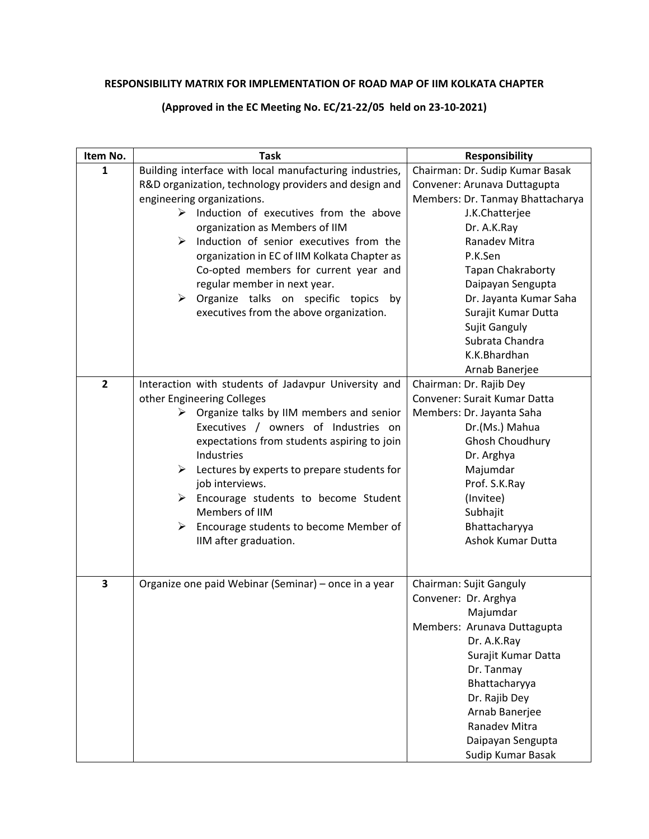## **RESPONSIBILITY MATRIX FOR IMPLEMENTATION OF ROAD MAP OF IIM KOLKATA CHAPTER**

## **(Approved in the EC Meeting No. EC/21-22/05 held on 23-10-2021)**

| Item No.       | <b>Task</b>                                                                                                                                                                                                                                                                                                                                                                                                                                                                                                                 | <b>Responsibility</b>                                                                                                                                                                                                                                                                                                             |
|----------------|-----------------------------------------------------------------------------------------------------------------------------------------------------------------------------------------------------------------------------------------------------------------------------------------------------------------------------------------------------------------------------------------------------------------------------------------------------------------------------------------------------------------------------|-----------------------------------------------------------------------------------------------------------------------------------------------------------------------------------------------------------------------------------------------------------------------------------------------------------------------------------|
| $\mathbf{1}$   | Building interface with local manufacturing industries,<br>R&D organization, technology providers and design and<br>engineering organizations.<br>$\triangleright$ Induction of executives from the above<br>organization as Members of IIM<br>Induction of senior executives from the<br>➤<br>organization in EC of IIM Kolkata Chapter as<br>Co-opted members for current year and<br>regular member in next year.<br>$\triangleright$ Organize talks on specific topics<br>by<br>executives from the above organization. | Chairman: Dr. Sudip Kumar Basak<br>Convener: Arunava Duttagupta<br>Members: Dr. Tanmay Bhattacharya<br>J.K.Chatterjee<br>Dr. A.K.Ray<br>Ranadev Mitra<br>P.K.Sen<br>Tapan Chakraborty<br>Daipayan Sengupta<br>Dr. Jayanta Kumar Saha<br>Surajit Kumar Dutta<br>Sujit Ganguly<br>Subrata Chandra<br>K.K.Bhardhan<br>Arnab Banerjee |
| $\overline{2}$ | Interaction with students of Jadavpur University and<br>other Engineering Colleges<br>$\triangleright$ Organize talks by IIM members and senior<br>Executives / owners of Industries on<br>expectations from students aspiring to join<br>Industries<br>$\triangleright$ Lectures by experts to prepare students for<br>job interviews.<br>$\triangleright$ Encourage students to become Student<br>Members of IIM<br>$\triangleright$ Encourage students to become Member of<br>IIM after graduation.                      | Chairman: Dr. Rajib Dey<br>Convener: Surait Kumar Datta<br>Members: Dr. Jayanta Saha<br>Dr.(Ms.) Mahua<br>Ghosh Choudhury<br>Dr. Arghya<br>Majumdar<br>Prof. S.K.Ray<br>(Invitee)<br>Subhajit<br>Bhattacharyya<br><b>Ashok Kumar Dutta</b>                                                                                        |
| 3              | Organize one paid Webinar (Seminar) - once in a year                                                                                                                                                                                                                                                                                                                                                                                                                                                                        | Chairman: Sujit Ganguly<br>Convener: Dr. Arghya<br>Majumdar<br>Members: Arunava Duttagupta<br>Dr. A.K.Ray<br>Surajit Kumar Datta<br>Dr. Tanmay<br>Bhattacharyya<br>Dr. Rajib Dey<br>Arnab Banerjee<br>Ranadev Mitra<br>Daipayan Sengupta<br>Sudip Kumar Basak                                                                     |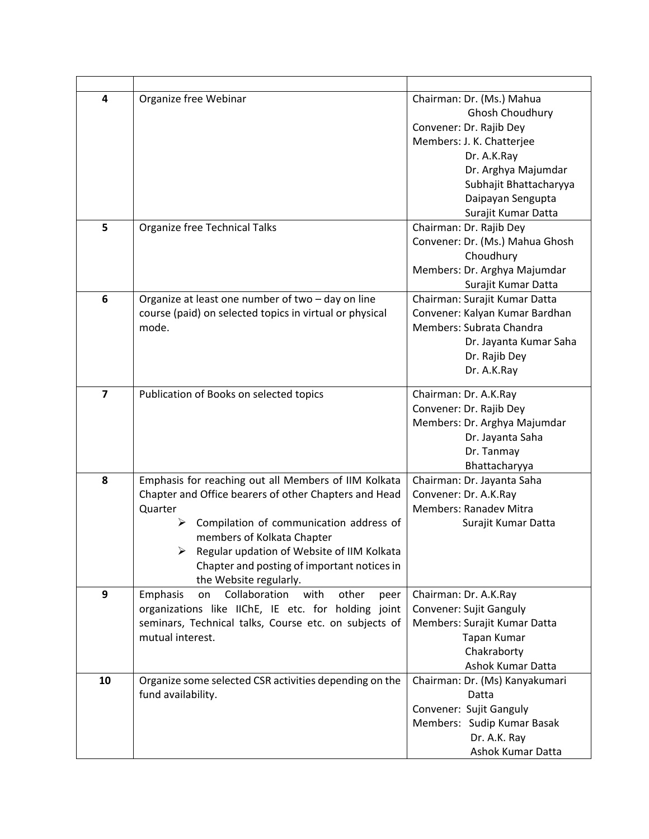| 4              | Organize free Webinar                                                                                                                                                                                                                                                                                                                          | Chairman: Dr. (Ms.) Mahua<br>Ghosh Choudhury<br>Convener: Dr. Rajib Dey<br>Members: J. K. Chatterjee<br>Dr. A.K.Ray<br>Dr. Arghya Majumdar<br>Subhajit Bhattacharyya<br>Daipayan Sengupta<br>Surajit Kumar Datta |
|----------------|------------------------------------------------------------------------------------------------------------------------------------------------------------------------------------------------------------------------------------------------------------------------------------------------------------------------------------------------|------------------------------------------------------------------------------------------------------------------------------------------------------------------------------------------------------------------|
| 5              | Organize free Technical Talks                                                                                                                                                                                                                                                                                                                  | Chairman: Dr. Rajib Dey<br>Convener: Dr. (Ms.) Mahua Ghosh<br>Choudhury<br>Members: Dr. Arghya Majumdar<br>Surajit Kumar Datta                                                                                   |
| 6              | Organize at least one number of two - day on line<br>course (paid) on selected topics in virtual or physical<br>mode.                                                                                                                                                                                                                          | Chairman: Surajit Kumar Datta<br>Convener: Kalyan Kumar Bardhan<br>Members: Subrata Chandra<br>Dr. Jayanta Kumar Saha<br>Dr. Rajib Dey<br>Dr. A.K.Ray                                                            |
| $\overline{7}$ | Publication of Books on selected topics                                                                                                                                                                                                                                                                                                        | Chairman: Dr. A.K.Ray<br>Convener: Dr. Rajib Dey<br>Members: Dr. Arghya Majumdar<br>Dr. Jayanta Saha<br>Dr. Tanmay<br>Bhattacharyya                                                                              |
| 8              | Emphasis for reaching out all Members of IIM Kolkata<br>Chapter and Office bearers of other Chapters and Head<br>Quarter<br>Compilation of communication address of<br>➤<br>members of Kolkata Chapter<br>$\triangleright$ Regular updation of Website of IIM Kolkata<br>Chapter and posting of important notices in<br>the Website regularly. | Chairman: Dr. Jayanta Saha<br>Convener: Dr. A.K.Ray<br>Members: Ranadev Mitra<br>Surajit Kumar Datta                                                                                                             |
| 9              | Collaboration<br>other<br>with<br>Emphasis<br>on<br>peer<br>organizations like IIChE, IE etc. for holding joint<br>seminars, Technical talks, Course etc. on subjects of<br>mutual interest.                                                                                                                                                   | Chairman: Dr. A.K.Ray<br>Convener: Sujit Ganguly<br>Members: Surajit Kumar Datta<br>Tapan Kumar<br>Chakraborty<br>Ashok Kumar Datta                                                                              |
| 10             | Organize some selected CSR activities depending on the<br>fund availability.                                                                                                                                                                                                                                                                   | Chairman: Dr. (Ms) Kanyakumari<br>Datta<br>Convener: Sujit Ganguly<br>Members: Sudip Kumar Basak<br>Dr. A.K. Ray<br>Ashok Kumar Datta                                                                            |